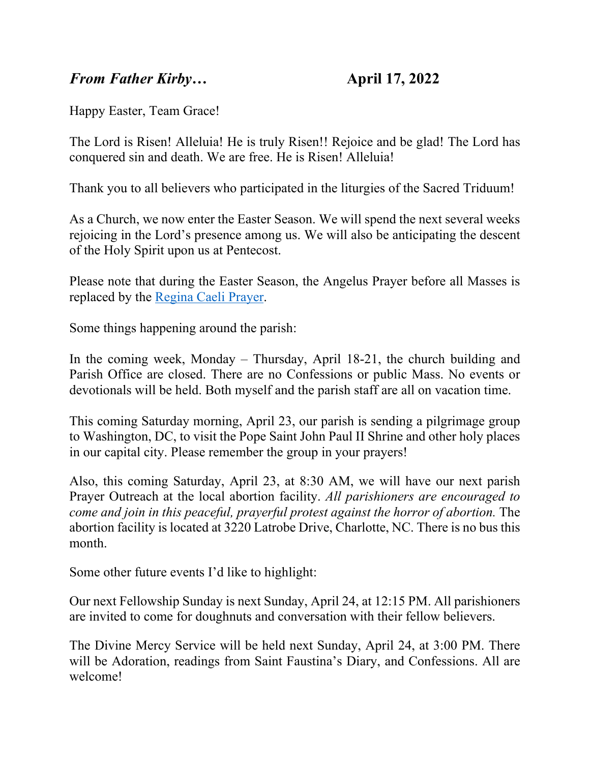## *From Father Kirby*… **April 17, 2022**

Happy Easter, Team Grace!

The Lord is Risen! Alleluia! He is truly Risen!! Rejoice and be glad! The Lord has conquered sin and death. We are free. He is Risen! Alleluia!

Thank you to all believers who participated in the liturgies of the Sacred Triduum!

As a Church, we now enter the Easter Season. We will spend the next several weeks rejoicing in the Lord's presence among us. We will also be anticipating the descent of the Holy Spirit upon us at Pentecost.

Please note that during the Easter Season, the Angelus Prayer before all Masses is replaced by the [Regina Caeli Prayer.](https://gracewepray.org/wp-content/uploads/2022/04/Regina-Caeli.pdf)

Some things happening around the parish:

In the coming week, Monday – Thursday, April 18-21, the church building and Parish Office are closed. There are no Confessions or public Mass. No events or devotionals will be held. Both myself and the parish staff are all on vacation time.

This coming Saturday morning, April 23, our parish is sending a pilgrimage group to Washington, DC, to visit the Pope Saint John Paul II Shrine and other holy places in our capital city. Please remember the group in your prayers!

Also, this coming Saturday, April 23, at 8:30 AM, we will have our next parish Prayer Outreach at the local abortion facility. *All parishioners are encouraged to come and join in this peaceful, prayerful protest against the horror of abortion.* The abortion facility is located at 3220 Latrobe Drive, Charlotte, NC. There is no bus this month.

Some other future events I'd like to highlight:

Our next Fellowship Sunday is next Sunday, April 24, at 12:15 PM. All parishioners are invited to come for doughnuts and conversation with their fellow believers.

The Divine Mercy Service will be held next Sunday, April 24, at 3:00 PM. There will be Adoration, readings from Saint Faustina's Diary, and Confessions. All are welcome!